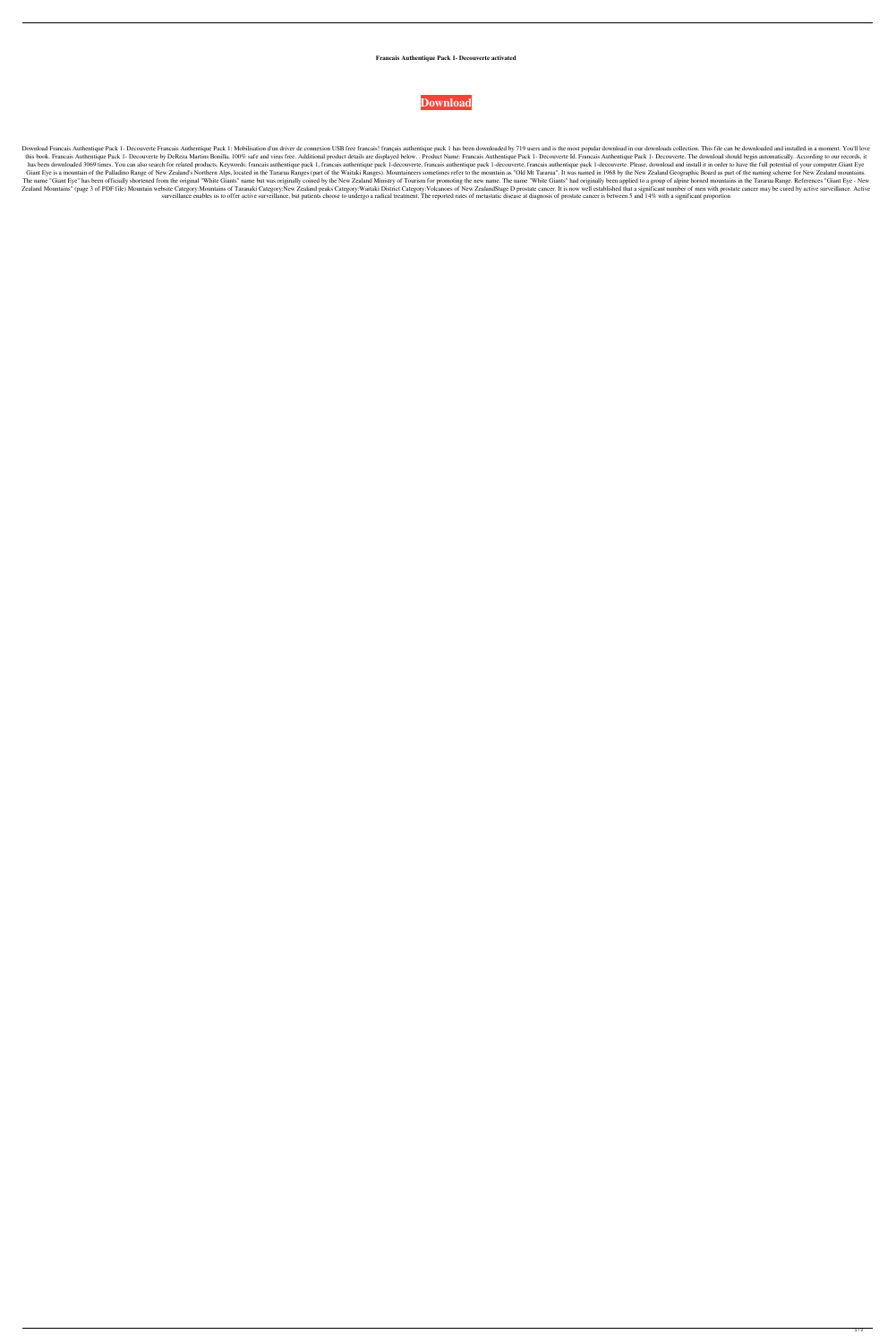**Francais Authentique Pack 1- Decouverte activated**



Download Francais Authentique Pack 1- Decouverte Francais Authentique Pack 1: Mobilisation d'un driver de connexion USB free francais! français authentique pack 1 has been downloaded by 719 users and is the most popular do this book. Francais Authentique Pack 1- Decouverte by DeReza Martins Bonilla, 100% safe and virus free. Additional product details are displayed below.. Product Name: Francais Authentique Pack 1- Decouverte Id. Francais Au has been downloaded 3069 times. You can also search for related products. Keywords: francais authentique pack 1, francais authentique pack 1-decouverte, francais authentique pack 1-decouverte, francais authentique pack 1-d Giant Eye is a mountain of the Palladino Range of New Zealand's Northern Alps, located in the Tararua Ranges (part of the Waitaki Ranges). Mountaineers sometimes refer to the mountain as "Old Mt Tararua". It was named in 1 The name "Giant Eye" has been officially shortened from the original "White Giants" name but was originally coined by the New Zealand Ministry of Tourism for promoting the new name. The name "White Giants" had originally b Zealand Mountains" (page 3 of PDF file) Mountain website Category:Mountains of Taranaki Category:New Zealand peaks Category:Waitaki District Category:Waitaki District Category:Volcanoes of New ZealandStage D prostate cance surveillance enables us to offer active surveillance, but patients choose to undergo a radical treatment. The reported rates of metastatic disease at diagnosis of prostate cancer is between 5 and 14% with a significant pro